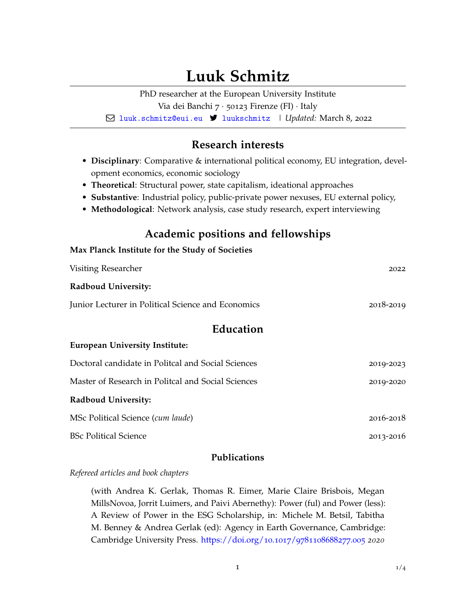# **Luuk Schmitz**

PhD researcher at the European University Institute Via dei Banchi 7 · 50123 Firenze (FI) · Italy Q [luuk.schmitz@eui.eu](mailto:) 7 [luukschmitz](https://twitter.com/luukschmitz) | *Updated:* March 8, 2022

# **Research interests**

- **Disciplinary**: Comparative & international political economy, EU integration, development economics, economic sociology
- **Theoretical**: Structural power, state capitalism, ideational approaches
- **Substantive**: Industrial policy, public-private power nexuses, EU external policy,
- **Methodological**: Network analysis, case study research, expert interviewing

# **Academic positions and fellowships**

| Max Planck Institute for the Study of Societies    |           |  |
|----------------------------------------------------|-----------|--|
| Visiting Researcher                                | 2022      |  |
| Radboud University:                                |           |  |
| Junior Lecturer in Political Science and Economics | 2018-2019 |  |
| Education                                          |           |  |
| <b>European University Institute:</b>              |           |  |
| Doctoral candidate in Politcal and Social Sciences | 2019-2023 |  |
| Master of Research in Politcal and Social Sciences | 2019-2020 |  |
| <b>Radboud University:</b>                         |           |  |
| MSc Political Science (cum laude)                  | 2016-2018 |  |
| <b>BSc Political Science</b>                       | 2013-2016 |  |
|                                                    |           |  |

# **Publications**

*Refereed articles and book chapters*

(with Andrea K. Gerlak, Thomas R. Eimer, Marie Claire Brisbois, Megan MillsNovoa, Jorrit Luimers, and Paivi Abernethy): Power (ful) and Power (less): A Review of Power in the ESG Scholarship, in: Michele M. Betsil, Tabitha M. Benney & Andrea Gerlak (ed): Agency in Earth Governance, Cambridge: Cambridge University Press. [https://doi.org/](https://doi.org/10.1017/9781108688277.005)10.1017/9781108688277.005 *2020*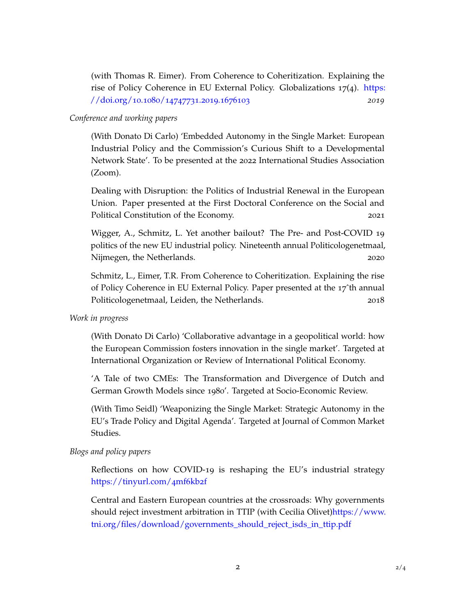(with Thomas R. Eimer). From Coherence to Coheritization. Explaining the rise of Policy Coherence in EU External Policy. Globalizations 17(4). [https:](https://doi.org/10.1080/14747731.2019.1676103) [//doi.org/](https://doi.org/10.1080/14747731.2019.1676103)10.1080/14747731.2019.1676103 *2019*

#### *Conference and working papers*

(With Donato Di Carlo) 'Embedded Autonomy in the Single Market: European Industrial Policy and the Commission's Curious Shift to a Developmental Network State'. To be presented at the 2022 International Studies Association (Zoom).

Dealing with Disruption: the Politics of Industrial Renewal in the European Union. Paper presented at the First Doctoral Conference on the Social and Political Constitution of the Economy. 2021

Wigger, A., Schmitz, L. Yet another bailout? The Pre- and Post-COVID 19 politics of the new EU industrial policy. Nineteenth annual Politicologenetmaal, Nijmegen, the Netherlands. 2020

Schmitz, L., Eimer, T.R. From Coherence to Coheritization. Explaining the rise of Policy Coherence in EU External Policy. Paper presented at the 17ˆth annual Politicologenetmaal, Leiden, the Netherlands. 2018

#### *Work in progress*

(With Donato Di Carlo) 'Collaborative advantage in a geopolitical world: how the European Commission fosters innovation in the single market'. Targeted at International Organization or Review of International Political Economy.

'A Tale of two CMEs: The Transformation and Divergence of Dutch and German Growth Models since 1980'. Targeted at Socio-Economic Review.

(With Timo Seidl) 'Weaponizing the Single Market: Strategic Autonomy in the EU's Trade Policy and Digital Agenda'. Targeted at Journal of Common Market Studies.

#### *Blogs and policy papers*

Reflections on how COVID-19 is reshaping the EU's industrial strategy [https://tinyurl.com/](https://tinyurl.com/4mf6kb2f/)4mf6kb2f

Central and Eastern European countries at the crossroads: Why governments should reject investment arbitration in TTIP (with Cecilia Olivet[\)https://www.](https://www.tni.org/files/download/governments_should_reject_isds_in_ttip.pdf) [tni.org/files/download/governments\\_should\\_reject\\_isds\\_in\\_ttip.pdf](https://www.tni.org/files/download/governments_should_reject_isds_in_ttip.pdf)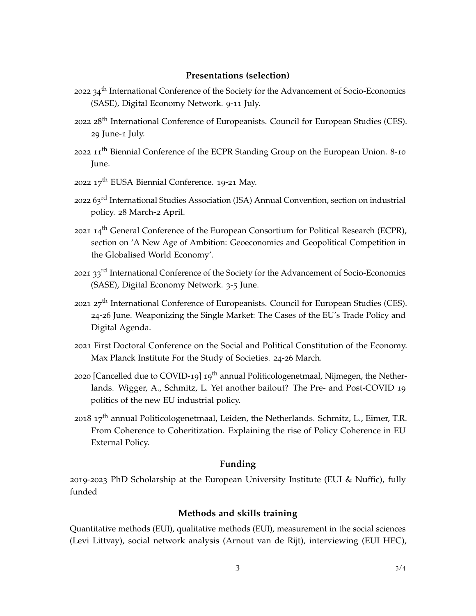#### **Presentations (selection)**

- 2022 34<sup>th</sup> International Conference of the Society for the Advancement of Socio-Economics (SASE), Digital Economy Network. 9-11 July.
- 2022 28<sup>th</sup> International Conference of Europeanists. Council for European Studies (CES). 29 June-1 July.
- 2022 11<sup>th</sup> Biennial Conference of the ECPR Standing Group on the European Union. 8-10 June.
- 2022  $17^{th}$  EUSA Biennial Conference. 19-21 May.
- 2022 63<sup>rd</sup> International Studies Association (ISA) Annual Convention, section on industrial policy. 28 March-2 April.
- 2021 14<sup>th</sup> General Conference of the European Consortium for Political Research (ECPR), section on 'A New Age of Ambition: Geoeconomics and Geopolitical Competition in the Globalised World Economy'.
- 2021 33<sup>rd</sup> International Conference of the Society for the Advancement of Socio-Economics (SASE), Digital Economy Network. 3-5 June.
- 2021 27<sup>th</sup> International Conference of Europeanists. Council for European Studies (CES). 24-26 June. Weaponizing the Single Market: The Cases of the EU's Trade Policy and Digital Agenda.
- 2021 First Doctoral Conference on the Social and Political Constitution of the Economy. Max Planck Institute For the Study of Societies. 24-26 March.
- 2020 [Cancelled due to COVID-19] 19<sup>th</sup> annual Politicologenetmaal, Nijmegen, the Netherlands. Wigger, A., Schmitz, L. Yet another bailout? The Pre- and Post-COVID 19 politics of the new EU industrial policy.
- 2018  $17<sup>th</sup>$  annual Politicologenetmaal, Leiden, the Netherlands. Schmitz, L., Eimer, T.R. From Coherence to Coheritization. Explaining the rise of Policy Coherence in EU External Policy.

#### **Funding**

2019-2023 PhD Scholarship at the European University Institute (EUI & Nuffic), fully funded

#### **Methods and skills training**

Quantitative methods (EUI), qualitative methods (EUI), measurement in the social sciences (Levi Littvay), social network analysis (Arnout van de Rijt), interviewing (EUI HEC),